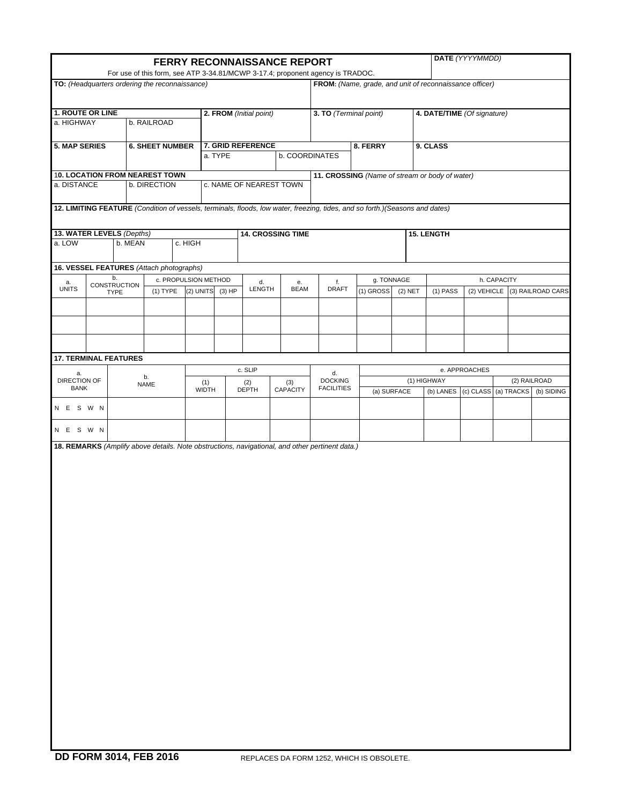|                                                |                    |                        |                      |              |          |                         | <b>FERRY RECONNAISSANCE REPORT</b> | For use of this form, see ATP 3-34.81/MCWP 3-17.4; proponent agency is TRADOC.                                               |                                                         |           |                             | DATE (YYYYMMDD) |                                |                               |
|------------------------------------------------|--------------------|------------------------|----------------------|--------------|----------|-------------------------|------------------------------------|------------------------------------------------------------------------------------------------------------------------------|---------------------------------------------------------|-----------|-----------------------------|-----------------|--------------------------------|-------------------------------|
| TO: (Headquarters ordering the reconnaissance) |                    |                        |                      |              |          |                         |                                    |                                                                                                                              | FROM: (Name, grade, and unit of reconnaissance officer) |           |                             |                 |                                |                               |
| 1. ROUTE OR LINE                               |                    |                        |                      |              |          |                         |                                    |                                                                                                                              |                                                         |           |                             |                 |                                |                               |
| a. HIGHWAY                                     |                    | b. RAILROAD            |                      |              |          | 2. FROM (Initial point) |                                    | 3. TO (Terminal point)                                                                                                       |                                                         |           | 4. DATE/TIME (Of signature) |                 |                                |                               |
| <b>5. MAP SERIES</b>                           |                    | <b>6. SHEET NUMBER</b> |                      |              | a. TYPE  | 7. GRID REFERENCE       | <b>b. COORDINATES</b>              |                                                                                                                              | 8. FERRY                                                |           | 9. CLASS                    |                 |                                |                               |
| <b>10. LOCATION FROM NEAREST TOWN</b>          |                    |                        |                      |              |          |                         |                                    |                                                                                                                              | 11. CROSSING (Name of stream or body of water)          |           |                             |                 |                                |                               |
| a. DISTANCE                                    |                    | b. DIRECTION           |                      |              |          | c. NAME OF NEAREST TOWN |                                    |                                                                                                                              |                                                         |           |                             |                 |                                |                               |
|                                                |                    |                        |                      |              |          |                         |                                    | 12. LIMITING FEATURE (Condition of vessels, terminals, floods, low water, freezing, tides, and so forth.)(Seasons and dates) |                                                         |           |                             |                 |                                |                               |
| 13. WATER LEVELS (Depths)                      |                    |                        |                      |              |          |                         | <b>14. CROSSING TIME</b>           |                                                                                                                              |                                                         |           | <b>15. LENGTH</b>           |                 |                                |                               |
| a. LOW                                         | b. MEAN            |                        | c. HIGH              |              |          |                         |                                    |                                                                                                                              |                                                         |           |                             |                 |                                |                               |
| 16. VESSEL FEATURES (Attach photographs)       |                    |                        |                      |              |          |                         |                                    |                                                                                                                              |                                                         |           |                             |                 |                                |                               |
| a.                                             | b.<br>CONSTRUCTION |                        | c. PROPULSION METHOD |              |          | d.                      | e.                                 | f.                                                                                                                           | g. TONNAGE                                              |           |                             |                 | h. CAPACITY                    |                               |
| <b>UNITS</b>                                   | <b>TYPE</b>        | $(1)$ TYPE             |                      | $(2)$ UNITS  | $(3)$ HP | LENGTH                  | <b>BEAM</b>                        | <b>DRAFT</b>                                                                                                                 | (1) GROSS                                               | $(2)$ NET | $(1)$ PASS                  |                 |                                | (2) VEHICLE (3) RAILROAD CARS |
|                                                |                    |                        |                      |              |          |                         |                                    |                                                                                                                              |                                                         |           |                             |                 |                                |                               |
|                                                |                    |                        |                      |              |          |                         |                                    |                                                                                                                              |                                                         |           |                             |                 |                                |                               |
|                                                |                    |                        |                      |              |          |                         |                                    |                                                                                                                              |                                                         |           |                             |                 |                                |                               |
| <b>17. TERMINAL FEATURES</b>                   |                    |                        |                      |              |          | c. SLIP                 |                                    |                                                                                                                              |                                                         |           |                             | e. APPROACHES   |                                |                               |
| a.<br><b>DIRECTION OF</b>                      |                    | b.<br><b>NAME</b>      |                      | (1)          |          | (2)                     | (3)                                | d.<br><b>DOCKING</b>                                                                                                         |                                                         |           | (1) HIGHWAY                 |                 |                                | (2) RAILROAD                  |
| <b>BANK</b>                                    |                    |                        |                      | <b>WIDTH</b> |          | <b>DEPTH</b>            | CAPACITY                           | <b>FACILITIES</b>                                                                                                            | (a) SURFACE                                             |           |                             |                 | (b) LANES (c) CLASS (a) TRACKS | (b) SIDING                    |
| N E S W N                                      |                    |                        |                      |              |          |                         |                                    |                                                                                                                              |                                                         |           |                             |                 |                                |                               |
| N E S W N                                      |                    |                        |                      |              |          |                         |                                    |                                                                                                                              |                                                         |           |                             |                 |                                |                               |
|                                                |                    |                        |                      |              |          |                         |                                    | 18. REMARKS (Amplify above details. Note obstructions, navigational, and other pertinent data.)                              |                                                         |           |                             |                 |                                |                               |
|                                                |                    |                        |                      |              |          |                         |                                    |                                                                                                                              |                                                         |           |                             |                 |                                |                               |
|                                                |                    |                        |                      |              |          |                         |                                    |                                                                                                                              |                                                         |           |                             |                 |                                |                               |
|                                                |                    |                        |                      |              |          |                         |                                    |                                                                                                                              |                                                         |           |                             |                 |                                |                               |
|                                                |                    |                        |                      |              |          |                         |                                    |                                                                                                                              |                                                         |           |                             |                 |                                |                               |
|                                                |                    |                        |                      |              |          |                         |                                    |                                                                                                                              |                                                         |           |                             |                 |                                |                               |
|                                                |                    |                        |                      |              |          |                         |                                    |                                                                                                                              |                                                         |           |                             |                 |                                |                               |
|                                                |                    |                        |                      |              |          |                         |                                    |                                                                                                                              |                                                         |           |                             |                 |                                |                               |
|                                                |                    |                        |                      |              |          |                         |                                    |                                                                                                                              |                                                         |           |                             |                 |                                |                               |
|                                                |                    |                        |                      |              |          |                         |                                    |                                                                                                                              |                                                         |           |                             |                 |                                |                               |
|                                                |                    |                        |                      |              |          |                         |                                    |                                                                                                                              |                                                         |           |                             |                 |                                |                               |
|                                                |                    |                        |                      |              |          |                         |                                    |                                                                                                                              |                                                         |           |                             |                 |                                |                               |
|                                                |                    |                        |                      |              |          |                         |                                    |                                                                                                                              |                                                         |           |                             |                 |                                |                               |
|                                                |                    |                        |                      |              |          |                         |                                    |                                                                                                                              |                                                         |           |                             |                 |                                |                               |